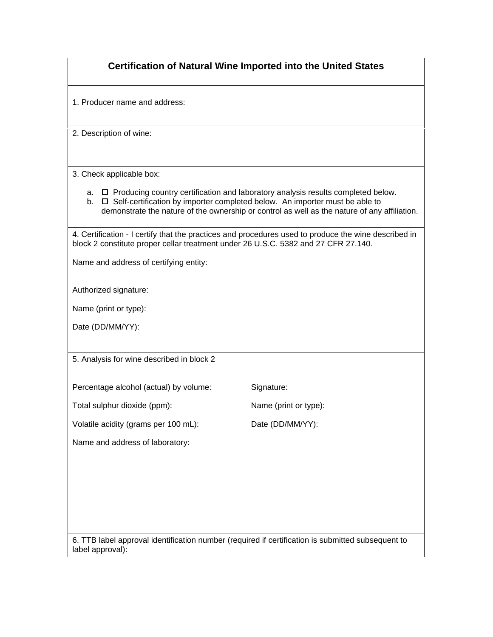| <b>Certification of Natural Wine Imported into the United States</b>                                                                                                                                                                                                                |                       |
|-------------------------------------------------------------------------------------------------------------------------------------------------------------------------------------------------------------------------------------------------------------------------------------|-----------------------|
| 1. Producer name and address:                                                                                                                                                                                                                                                       |                       |
| 2. Description of wine:                                                                                                                                                                                                                                                             |                       |
| 3. Check applicable box:                                                                                                                                                                                                                                                            |                       |
| a. $\Box$ Producing country certification and laboratory analysis results completed below.<br>b. $\Box$ Self-certification by importer completed below. An importer must be able to<br>demonstrate the nature of the ownership or control as well as the nature of any affiliation. |                       |
| 4. Certification - I certify that the practices and procedures used to produce the wine described in<br>block 2 constitute proper cellar treatment under 26 U.S.C. 5382 and 27 CFR 27.140.                                                                                          |                       |
| Name and address of certifying entity:                                                                                                                                                                                                                                              |                       |
| Authorized signature:                                                                                                                                                                                                                                                               |                       |
| Name (print or type):                                                                                                                                                                                                                                                               |                       |
| Date (DD/MM/YY):                                                                                                                                                                                                                                                                    |                       |
| 5. Analysis for wine described in block 2                                                                                                                                                                                                                                           |                       |
| Percentage alcohol (actual) by volume:                                                                                                                                                                                                                                              | Signature:            |
| Total sulphur dioxide (ppm):                                                                                                                                                                                                                                                        | Name (print or type): |
| Volatile acidity (grams per 100 mL):                                                                                                                                                                                                                                                | Date (DD/MM/YY):      |
| Name and address of laboratory:                                                                                                                                                                                                                                                     |                       |
|                                                                                                                                                                                                                                                                                     |                       |
|                                                                                                                                                                                                                                                                                     |                       |
|                                                                                                                                                                                                                                                                                     |                       |
|                                                                                                                                                                                                                                                                                     |                       |
| 6. TTB label approval identification number (required if certification is submitted subsequent to<br>label approval):                                                                                                                                                               |                       |